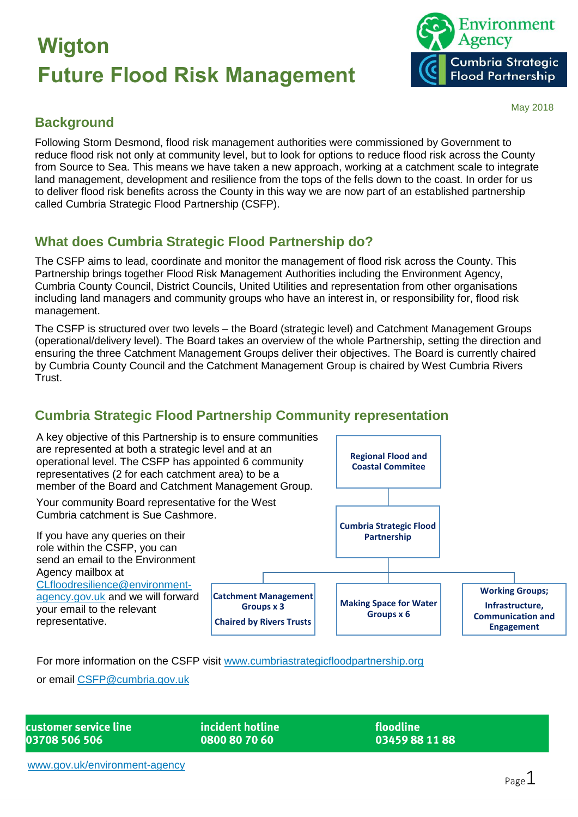

#### May 2018

#### **Background**

Following Storm Desmond, flood risk management authorities were commissioned by Government to reduce flood risk not only at community level, but to look for options to reduce flood risk across the County from Source to Sea. This means we have taken a new approach, working at a catchment scale to integrate land management, development and resilience from the tops of the fells down to the coast. In order for us to deliver flood risk benefits across the County in this way we are now part of an established partnership called Cumbria Strategic Flood Partnership (CSFP).

### **What does Cumbria Strategic Flood Partnership do?**

The CSFP aims to lead, coordinate and monitor the management of flood risk across the County. This Partnership brings together Flood Risk Management Authorities including the Environment Agency, Cumbria County Council, District Councils, United Utilities and representation from other organisations including land managers and community groups who have an interest in, or responsibility for, flood risk management.

The CSFP is structured over two levels – the Board (strategic level) and Catchment Management Groups (operational/delivery level). The Board takes an overview of the whole Partnership, setting the direction and ensuring the three Catchment Management Groups deliver their objectives. The Board is currently chaired by Cumbria County Council and the Catchment Management Group is chaired by West Cumbria Rivers Trust.

#### **Cumbria Strategic Flood Partnership Community representation**



For more information on the CSFP visit [www.cumbriastrategicfloodpartnership.org](http://www.cumbriastrategicfloodpartnership.org/)

or email [CSFP@cumbria.gov.uk](mailto:CSFP@cumbria.gov.uk)

| customer service line |  |
|-----------------------|--|
| 03708 506 506         |  |

incident hotline 0800 80 70 60

floodline 03459881188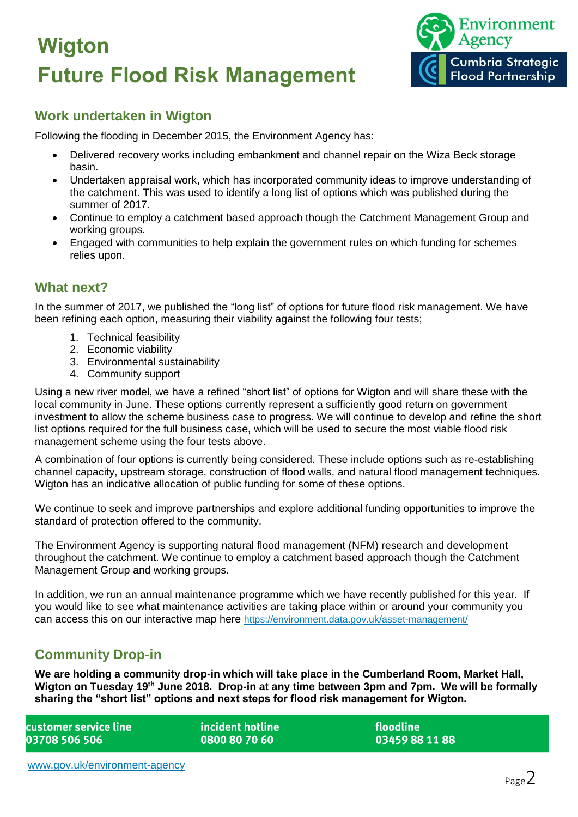

#### **Work undertaken in Wigton**

Following the flooding in December 2015, the Environment Agency has:

- Delivered recovery works including embankment and channel repair on the Wiza Beck storage basin.
- Undertaken appraisal work, which has incorporated community ideas to improve understanding of the catchment. This was used to identify a long list of options which was published during the summer of 2017.
- Continue to employ a catchment based approach though the Catchment Management Group and working groups.
- Engaged with communities to help explain the government rules on which funding for schemes relies upon.

#### **What next?**

In the summer of 2017, we published the "long list" of options for future flood risk management. We have been refining each option, measuring their viability against the following four tests;

- 1. Technical feasibility
- 2. Economic viability
- 3. Environmental sustainability
- 4. Community support

Using a new river model, we have a refined "short list" of options for Wigton and will share these with the local community in June. These options currently represent a sufficiently good return on government investment to allow the scheme business case to progress. We will continue to develop and refine the short list options required for the full business case, which will be used to secure the most viable flood risk management scheme using the four tests above.

A combination of four options is currently being considered. These include options such as re-establishing channel capacity, upstream storage, construction of flood walls, and natural flood management techniques. Wigton has an indicative allocation of public funding for some of these options.

We continue to seek and improve partnerships and explore additional funding opportunities to improve the standard of protection offered to the community.

The Environment Agency is supporting natural flood management (NFM) research and development throughout the catchment. We continue to employ a catchment based approach though the Catchment Management Group and working groups.

In addition, we run an annual maintenance programme which we have recently published for this year. If you would like to see what maintenance activities are taking place within or around your community you can access this on our interactive map here <https://environment.data.gov.uk/asset-management/>

#### **Community Drop-in**

**We are holding a community drop-in which will take place in the Cumberland Room, Market Hall, Wigton on Tuesday 19th June 2018. Drop-in at any time between 3pm and 7pm. We will be formally sharing the "short list" options and next steps for flood risk management for Wigton.**

| customer service line l | l incident hotline l | <b>floodline</b> |
|-------------------------|----------------------|------------------|
| 03708 506 506           | 0800 80 70 60        | 03459 88 11 88   |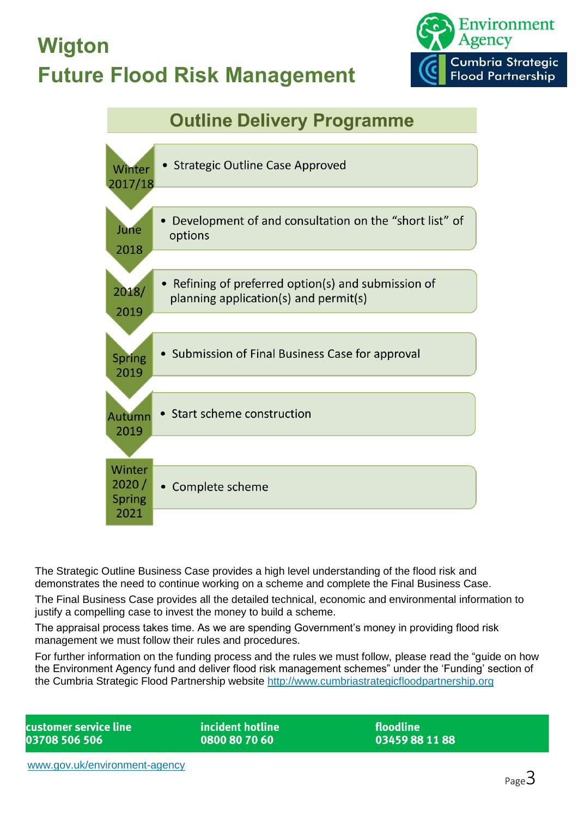

### **Outline Delivery Programme**



The Strategic Outline Business Case provides a high level understanding of the flood risk and demonstrates the need to continue working on a scheme and complete the Final Business Case.

The Final Business Case provides all the detailed technical, economic and environmental information to justify a compelling case to invest the money to build a scheme.

The appraisal process takes time. As we are spending Government's money in providing flood risk management we must follow their rules and procedures.

For further information on the funding process and the rules we must follow, please read the "guide on how the Environment Agency fund and deliver flood risk management schemes" under the 'Funding' section of the Cumbria Strategic Flood Partnership website [http://www.cumbriastrategicfloodpartnership.org](http://www.cumbriastrategicfloodpartnership.org/)

customer service line 03708 506 506

incident hotline 0800 80 70 60

floodline 03459881188